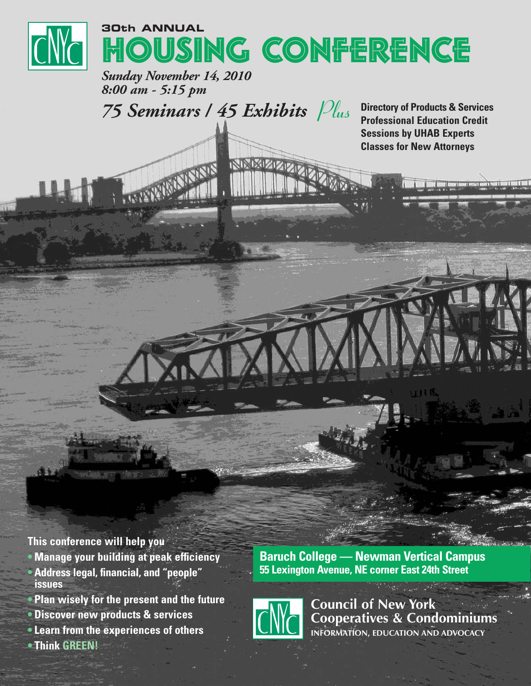

*Sunday November 14, 2010 8:00 am - 5:15 pm*

*75 Seminars / 45 Exhibits Plus*

**Directory of Products & Services Professional Education Credit Sessions by UHAB Experts Classes for New Attorneys**

**This conference will help you**

- **• Manage your building at peak efficiency**
- **• Address legal, financial, and "people" issues**
- **• Plan wisely for the present and the future**
- **• Discover new products & services**
- **• Learn from the experiences of others**
- **• Think GREEN!**

**Baruch College — Newman Vertical Campus 55 Lexington Avenue, NE corner East 24th Street**



**Council of New York Cooperatives & Condominiums INFORMATION, EDUCATION AND ADVOCACY**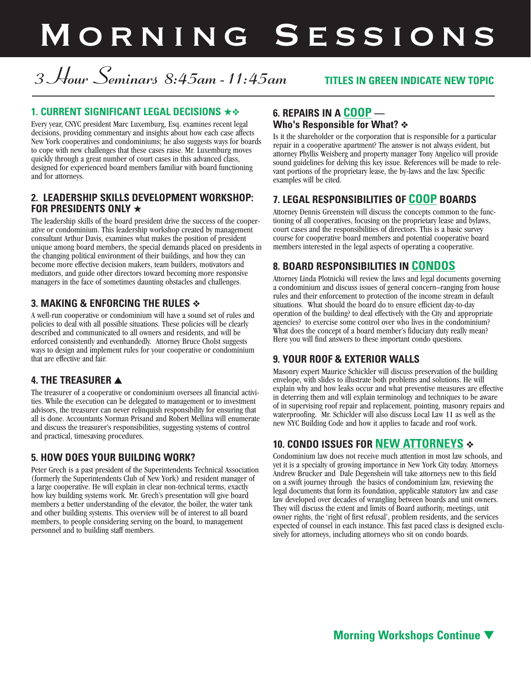# MORNING SESSIONS

## *3 Hour Seminars 8:45am-11:45am* **TITLES IN GREEN INDICATE NEW TOPIC**

#### **1. CURRENT SIGNIFICANT LEGAL DECISIONS ★❖**

Every year, CNYC president Marc Luxemburg, Esq. examines recent legal decisions, providing commentary and insights about how each case affects New York cooperatives and condominiums; he also suggests ways for boards to cope with new challenges that these cases raise. Mr. Luxemburg moves quickly through a great number of court cases in this advanced class, designed for experienced board members familiar with board functioning and for attorneys.

#### **2. LEADERSHIP SKILLS DEVELOPMENT WORKSHOP: FOR PRESIDENTS ONLY ★**

The leadership skills of the board president drive the success of the cooperative or condominium. This leadership workshop created by management consultant Arthur Davis, examines what makes the position of president unique among board members, the special demands placed on presidents in the changing political environment of their buildings, and how they can become more effective decision makers, team builders, motivators and mediators, and guide other directors toward becoming more responsive managers in the face of sometimes daunting obstacles and challenges.

#### **3. MAKING & ENFORCING THE RULES ❖**

A well-run cooperative or condominium will have a sound set of rules and policies to deal with all possible situations. These policies will be clearly described and communicated to all owners and residents, and will be enforced consistently and evenhandedly. Attorney Bruce Cholst suggests ways to design and implement rules for your cooperative or condominium that are effective and fair.

## **4. THE TREASURER ▲**

The treasurer of a cooperative or condominium oversees all financial activities. While the execution can be delegated to management or to investment advisors, the treasurer can never relinquish responsibility for ensuring that all is done. Accountants Norman Prisand and Robert Mellina will enumerate and discuss the treasurer's responsibilities, suggesting systems of control and practical, timesaving procedures.

#### **5. HOW DOES YOUR BUILDING WORK?**

Peter Grech is a past president of the Superintendents Technical Association (formerly the Superintendents Club of New York) and resident manager of a large cooperative. He will explain in clear non-technical terms, exactly how key building systems work. Mr. Grech's presentation will give board members a better understanding of the elevator, the boiler, the water tank and other building systems. This overview will be of interest to all board members, to people considering serving on the board, to management personnel and to building staff members.

#### **6. REPAIRS IN A COOP — Who's Responsible for What? ❖**

Is it the shareholder or the corporation that is responsible for a particular repair in a cooperative apartment? The answer is not always evident, but attorney Phyllis Weisberg and property manager Tony Angelico will provide sound guidelines for delving this key issue. References will be made to relevant portions of the proprietary lease, the by-laws and the law. Specific examples will be cited.

## **7. LEGAL RESPONSIBILITIES OF COOP BOARDS**

Attorney Dennis Greenstein will discuss the concepts common to the functioning of all cooperatives, focusing on the proprietary lease and bylaws, court cases and the responsibilities of directors. This is a basic survey course for cooperative board members and potential cooperative board members interested in the legal aspects of operating a cooperative.

#### **8. BOARD RESPONSIBILITIES IN CONDOS**

Attorney Linda Plotnicki will review the laws and legal documents governing a condominium and discuss issues of general concern–ranging from house rules and their enforcement to protection of the income stream in default situations. What should the board do to ensure efficient day-to-day operation of the building? to deal effectively with the City and appropriate agencies? to exercise some control over who lives in the condominium? What does the concept of a board member's fiduciary duty really mean? Here you will find answers to these important condo questions.

## **9. YOUR ROOF & EXTERIOR WALLS**

Masonry expert Maurice Schickler will discuss preservation of the building envelope, with slides to illustrate both problems and solutions. He will explain why and how leaks occur and what preventive measures are effective in deterring them and will explain terminology and techniques to be aware of in supervising roof repair and replacement, pointing, masonry repairs and waterproofing. Mr. Schickler will also discuss Local Law 11 as well as the new NYC Building Code and how it applies to facade and roof work.

## **10. CONDO ISSUES FOR NEW ATTORNEYS ❖**

Condominium law does not receive much attention in most law schools, and yet it is a specialty of growing importance in New York City today. Attorneys Andrew Brucker and Dale Degenshein will take attorneys new to this field on a swift journey through the basics of condominium law, reviewing the legal documents that form its foundation, applicable statutory law and case law developed over decades of wrangling between boards and unit owners. They will discuss the extent and limits of Board authority, meetings, unit owner rights, the 'right of first refusal', problem residents, and the services expected of counsel in each instance. This fast paced class is designed exclusively for attorneys, including attorneys who sit on condo boards.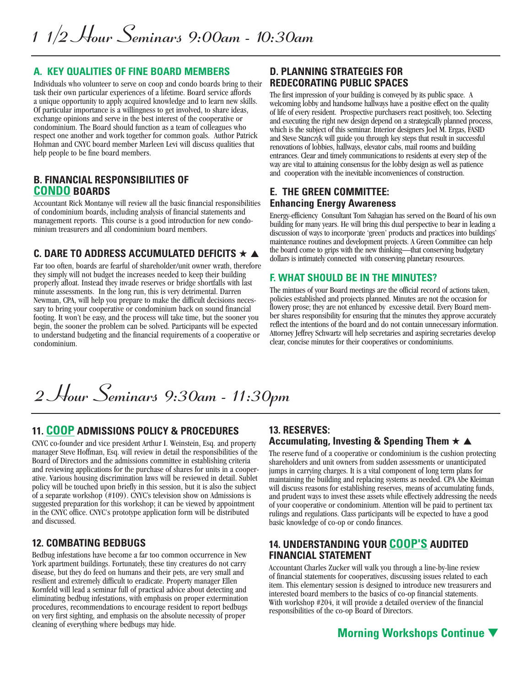#### **A. KEY QUALITIES OF FINE BOARD MEMBERS**

Individuals who volunteer to serve on coop and condo boards bring to their task their own particular experiences of a lifetime. Board service affords a unique opportunity to apply acquired knowledge and to learn new skills. Of particular importance is a willingness to get involved, to share ideas, exchange opinions and serve in the best interest of the cooperative or condominium. The Board should function as a team of colleagues who respect one another and work together for common goals. Author Patrick Hohman and CNYC board member Marleen Levi will discuss qualities that help people to be fine board members.

#### **B. FINANCIAL RESPONSIBILITIES OF CONDO BOARDS**

Accountant Rick Montanye will review all the basic financial responsibilities of condominium boards, including analysis of financial statements and management reports. This course is <sup>a</sup> good introduction for new condo- minium treasurers and all condominium board members.

#### **C. DARE TO ADDRESS ACCUMULATED DEFICITS ★ ▲**

Far too often, boards are fearful of shareholder/unit owner wrath, therefore they simply will not budget the increases needed to keep their building properly afloat. Instead they invade reserves or bridge shortfalls with last minute assessments. In the long run, this is very detrimental. Darren Newman, CPA, will help you prepare to make the difficult decisions necessary to bring your cooperative or condominium back on sound financial footing. It won't be easy, and the process will take time, but the sooner you begin, the sooner the problem can be solved. Participants will be expected to understand budgeting and the financial requirements of a cooperative or condominium.

#### **D. PLANNING STRATEGIES FOR REDECORATING PUBLIC SPACES**

The first impression of your building is conveyed by its public space. A welcoming lobby and handsome hallways have a positive effect on the quality of life of every resident. Prospective purchasers react positively, too. Selecting and executing the right new design depend on a strategically planned process, which is the subject of this seminar. Interior designers Joel M. Ergas, FASID and Steve Stanczyk will guide you through key steps that result in successful renovations of lobbies, hallways, elevator cabs, mail rooms and building entrances. Clear and timely communications to residents at every step of the way are vital to attaining consensus for the lobby design as well as patience and cooperation with the inevitable inconveniences of construction.

#### **E. THE GREEN COMMITTEE: Enhancing Energy Awareness**

Energy-efficiency Consultant Tom Sahagian has served on the Board of his own building for many years. He will bring this dual perspective to bear in leading a discussion of ways to incorporate 'green' products and practices into buildings' maintenance routines and development projects. A Green Committee can help the board come to grips with the new thinking—that conserving budgetary dollars is intimately connected with conserving planetary resources.

#### **F. WHAT SHOULD BE IN THE MINUTES?**

The mintues of your Board meetings are the official record of actions taken, policies established and projects planned. Minutes are not the occasion for flowery prose; they are not enhanced by excessive detail. Every Board member shares responsibility for ensuring that the minutes they approve accurately reflect the intentions of the board and do not contain unnecessary information. Attorney Jeffrey Schwartz will help secretaries and aspiring secretaries develop clear, concise minutes for their cooperatives or condominiums.

*2 Hour Seminars 9:30am - 11:30pm*

#### **11. COOP ADMISSIONS POLICY & PROCEDURES**

CNYC co-founder and vice president Arthur I. Weinstein, Esq. and property manager Steve Hoffman, Esq. will review in detail the responsibilities of the Board of Directors and the admissions committee in establishing criteria<br>and reviewing applications for the purchase of shares for units in a cooperative. Various housing discrimination laws will be reviewed in detail. Sublet policy will be touched upon briefly in this session, but it is also the subject of a separate workshop (#109). CNYC's television show on Admissions is suggested preparation for this workshop; it can be viewed by appointment in the CNYC office. CNYC's prototype application form will be distributed and discussed.

#### **12. COMBATING BEDBUGS**

Bedbug infestations have become a far too common occurrence in New York apartment buildings. Fortunately, these tiny creatures do not carry disease, but they do feed on humans and their pets, are very small and resilient and extremely difficult to eradicate. Property manager Ellen Kornfeld will lead a seminar full of practical advice about detecting and eliminating bedbug infestations, with emphasis on proper extermination procedures, recommendations to encourage resident to report bedbugs on very first sighting, and emphasis on the absolute necessity of proper cleaning of everything where bedbugs may hide.

#### **13. RESERVES: Accumulating, Investing & Spending Them ★ ▲**

The reserve fund of a cooperative or condominium is the cushion protecting shareholders and unit owners from sudden assessments or unanticipated jumps in carrying charges. It is a vital component of long term plans for maintaining the building and replacing systems as needed. CPA Abe Kleiman will discuss reasons for establishing reserves, means of accumulating funds, and prudent ways to invest these assets while effectively addressing the needs of your cooperative or condominium. Attention will be paid to pertinent tax rulings and regulations. Class participants will be expected to have a good basic knowledge of co-op or condo finances.

#### **14. UNDERSTANDING YOUR COOP'S AUDITED FINANCIAL STATEMENT**

Accountant Charles Zucker will walk you through a line-by-line review of financial statements for cooperatives, discussing issues related to each item. This elementary session is designed to introduce new treasurers and interested board members to the basics of co-op financial statements. With workshop #204, it will provide a detailed overview of the financial responsibilities of the co-op Board of Directors.

## **Morning Workshops Continue ▼**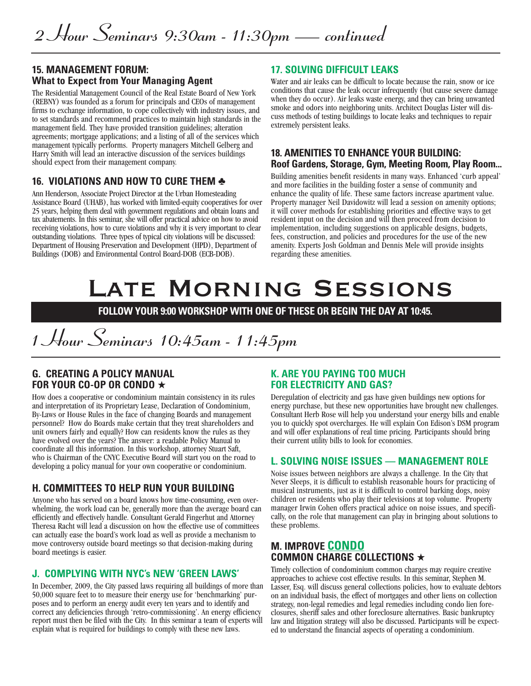#### **15. MANAGEMENT FORUM: What to Expect from Your Managing Agent**

The Residential Management Council of the Real Estate Board of New York (REBNY) was founded as a forum for principals and CEOs of management firms to exchange information, to cope collectively with industry issues, and to set standards and recommend practices to maintain high standards in the management field. They have provided transition guidelines; alteration agreements; mortgage applications; and a listing of all of the services which management typically performs. Property managers Mitchell Gelberg and Harry Smith will lead an interactive discussion of the services buildings should expect from their management company.

#### **16. VIOLATIONS AND HOW TO CURE THEM ♣**

Ann Henderson, Associate Project Director at the Urban Homesteading Assistance Board (UHAB), has worked with limited-equity cooperatives for over 25 years, helping them deal with government regulations and obtain loans and tax abatements. In this seminar, she will offer practical advice on how to avoid receiving violations, how to cure violations and why it is very important to clear outstanding violations. Three types of typical city violations will be discussed: Department of Housing Preservation and Development (HPD), Department of Buildings (DOB) and Environmental Control Board-DOB (ECB-DOB).

#### **17. SOLVING DIFFICULT LEAKS**

Water and air leaks can be difficult to locate because the rain, snow or ice conditions that cause the leak occur infrequently (but cause severe damage when they do occur). Air leaks waste energy, and they can bring unwanted smoke and odors into neighboring units. Architect Douglas Lister will discuss methods of testing buildings to locate leaks and techniques to repair extremely persistent leaks.

#### **18. AMENITIES TO ENHANCE YOUR BUILDING: Roof Gardens, Storage, Gym, Meeting Room, Play Room...**

Building amenities benefit residents in many ways. Enhanced 'curb appeal' and more facilities in the building foster a sense of community and enhance the quality of life. These same factors increase apartment value. Property manager Neil Davidowitz will lead a session on amenity options; it will cover methods for establishing priorities and effective ways to get resident input on the decision and will then proceed from decision to implementation, including suggestions on applicable designs, budgets, fees, construction, and policies and procedures for the use of the new amenity. Experts Josh Goldman and Dennis Mele will provide insights regarding these amenities.

# Late Morning Sessions

**FOLLOW YOUR 9:00 WORKSHOP WITH ONE OF THESE OR BEGIN THE DAY AT 10:45.**

## *1 Hour Seminars 10:45am - 11:45pm*

#### **G. CREATING A POLICY MANUAL FOR YOUR CO-OP OR CONDO ★**

How does a cooperative or condominium maintain consistency in its rules and interpretation of its Proprietary Lease, Declaration of Condominium, By-Laws or House Rules in the face of changing Boards and management personnel? How do Boards make certain that they treat shareholders and unit owners fairly and equally? How can residents know the rules as they have evolved over the years? The answer: a readable Policy Manual to coordinate all this information. In this workshop, attorney Stuart Saft, who is Chairman of the CNYC Executive Board will start you on the road to developing a policy manual for your own cooperative or condominium.

## **H. COMMITTEES TO HELP RUN YOUR BUILDING**

Anyone who has served on a board knows how time-consuming, even over-<br>whelming, the work load can be, generally more than the average board can efficiently and effectively handle. Consultant Gerald Fingerhut and Attorney Theresa Racht will lead a discussion on how the effective use of committees can actually ease the board's work load as well as provide a mechanism to move controversy outside board meetings so that decision-making during board meetings is easier.

#### **J. COMPLYING WITH NYC's NEW 'GREEN LAWS'**

In December, 2009, the City passed laws requiring all buildings of more than 50,000 square feet to to measure their energy use for 'benchmarking' purposes and to perform an energy audit every ten years and to identify and correct any deficiencies through 'retro-commissioning'. An energy efficiency report must then be filed with the City. In this seminar a team of experts will explain what is required for buildings to comply with these new laws.

#### **K. ARE YOU PAYING TOO MUCH FOR ELECTRICITY AND GAS?**

Deregulation of electricity and gas have given buildings new options for energy purchase, but these new opportunities have brought new challenges. Consultant Herb Rose will help you understand your energy bills and enable you to quickly spot overcharges. He will explain Con Edison's DSM program and will offer explanations of real time pricing. Participants should bring their current utility bills to look for economies.

#### **L. SOLVING NOISE ISSUES — MANAGEMENT ROLE**

Noise issues between neighbors are always a challenge. In the City that Never Sleeps, it is difficult to establish reasonable hours for practicing of musical instruments, just as it is difficult to control barking dogs, noisy children or residents who play their televisions at top volume. Property manager Irwin Cohen offers practical advice on noise issues, and specifically, on the role that management can play in bringing about solutions to these problems.

#### **M. IMPROVE CONDO COMMON CHARGE COLLECTIONS ★**

Timely collection of condominium common charges may require creative approaches to achieve cost effective results. In this seminar, Stephen M. Lasser, Esq. will discuss general collections policies, how to evaluate debtors on an individual basis, the effect of mortgages and other liens on collection strategy, non-legal remedies and legal remedies including condo lien fore- closures, sheriff sales and other foreclosure alternatives. Basic bankruptcy law and litigation strategy will also be discussed. Participants will be expect- ed to understand the financial aspects of operating <sup>a</sup> condominium.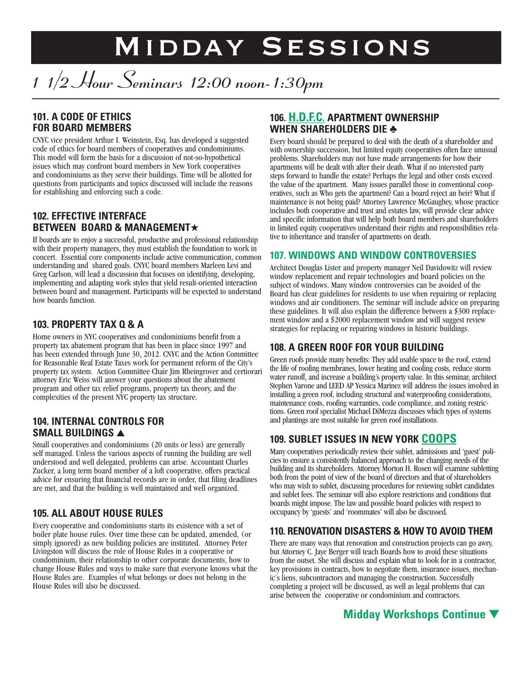# Midday Sessions

# *1 1/2 Hour Seminars 12:00 noon-1:30pm*

## **101. A CODE OF ETHICS FOR BOARD MEMBERS**

CNYC vice president Arthur I. Weinstein, Esq. has developed a suggested code of ethics for board members of cooperatives and condominiums. This model will form the basis for a discussion of not-so-hypothetical issues which may confront board members in New York cooperatives and condominiums as they serve their buildings. Time will be allotted for questions from participants and topics discussed will include the reasons for establishing and enforcing such a code.

#### **102. EFFECTIVE INTERFACE BETWEEN BOARD & MANAGEMENT★**

If boards are to enjoy a successful, productive and professional relationship with their property managers, they must establish the foundation to work in concert. Essential core components include active communication, common understanding and shared goals. CNYC board members Marleen Levi and Greg Carlson, will lead a discussion that focuses on identifying, developing, implementing and adapting work styles that yield result-oriented interaction between board and management. Participants will be expected to understand how boards function.

## **103. PROPERTY TAX Q & A**

Home owners in NYC cooperatives and condominiums benefit from a property tax abatement program that has been in place since 1997 and has been extended through June 30, 2012. CNYC and the Action Committee for Reasonable Real Estate Taxes work for permanent reform of the City's property tax system. Action Committee Chair Jim Rheingrover and certiorari attorney Eric Weiss will answer your questions about the abatement program and other tax relief programs, property tax theory, and the complexities of the present NYC property tax structure.

#### **104. INTERNAL CONTROLS FOR SMALL BUILDINGS ▲**

Small cooperatives and condominiums (20 units or less) are generally self managed. Unless the various aspects of running the building are well understood and well delegated, problems can arise. Accountant Charles Zucker, a long term board member of a loft cooperative, offers practical advice for ensuring that financial records are in order, that filing deadlines are met, and that the building is well maintained and well organized.

## **105. ALL ABOUT HOUSE RULES**

Every cooperative and condominiums starts its existence with a set of boiler plate house rules. Over time these can be updated, amended, (or simply ignored) as new building policies are instituted. Attorney Peter Livingston will discuss the role of House Rules in a cooperative or condominium, their relationship to other corporate documents, how to change House Rules and ways to make sure that everyone knows what the House Rules are. Examples of what belongs or does not belong in the House Rules will also be discussed.

## **106. H.D.F.C. APARTMENT OWNERSHIP WHEN SHAREHOLDERS DIE ♣**

Every board should be prepared to deal with the death of a shareholder and with ownership succession, but limited equity cooperatives often face unusual problems. Shareholders may not have made arrangements for how their apartments will be dealt with after their death. What if no interested party steps forward to handle the estate? Perhaps the legal and other costs exceed the value of the apartment. Many issues parallel those in conventional cooperatives, such as Who gets the apartment? Can a board reject an heir? What if maintenance is not being paid? Attorney Lawrence McGaughey, whose practice includes both cooperative and trust and estates law, will provide clear advice and specific information that will help both board members and shareholders in limited equity cooperatives understand their rights and responsibilities relative to inheritance and transfer of apartments on death.

#### **107. WINDOWS AND WINDOW CONTROVERSIES**

Architect Douglas Lister and property manager Neil Davidowitz will review window replacement and repair technologies and board policies on the subject of windows. Many window controversies can be avoided of the Board has clear guidelines for residents to use when repairing or replacing windows and air conditioners. The seminar will include advice on preparing these guidelines. It will also explain the difference between a \$300 replacement window and a \$2000 replacement window and will suggest review strategies for replacing or repairing windows in historic buildings.

## **108. A GREEN ROOF FOR YOUR BUILDING**

Green roofs provide many benefits: They add usable space to the roof, extend the life of roofing membranes, lower heating and cooling costs, reduce storm water runoff, and increase a building's property value. In this seminar, architect Stephen Varone and LEED AP Yessica Marinez will address the issues involved in installing a green roof, including structural and waterproofing considerations, maintenance costs, roofing warranties, code compliance, and zoning restrictions. Green roof specialist Michael DiMezza discusses which types of systems and plantings are most suitable for green roof installations.

## **109. SUBLET ISSUES IN NEW YORK COOPS**

Many cooperatives periodically review their sublet, admissions and 'guest' policies to ensure a consistently balanced approach to the changing needs of the building and its shareholders. Attorney Morton H. Rosen will examine subletting both from the point of view of the board of directors and that of shareholders who may wish to sublet, discussing procedures for reviewing sublet candidates and sublet fees. The seminar will also explore restrictions and conditions that boards might impose. The law and possible board policies with respect to occupancy by 'guests' and 'roommates' will also be discussed.

## **110. RENOVATION DISASTERS & HOW TO AVOID THEM**

There are many ways that renovation and construction projects can go awry, but Attorney C. Jaye Berger will teach Boards how to avoid these situations from the outset. She will discuss and explain what to look for in a contractor, key provisions in contracts, how to negotiate them, insurance issues, mechanic's liens, subcontractors and managing the construction. Successfully completing a project will be discussed, as well as legal problems that can arise between the cooperative or condominium and contractors.

## **Midday Workshops Continue ▼**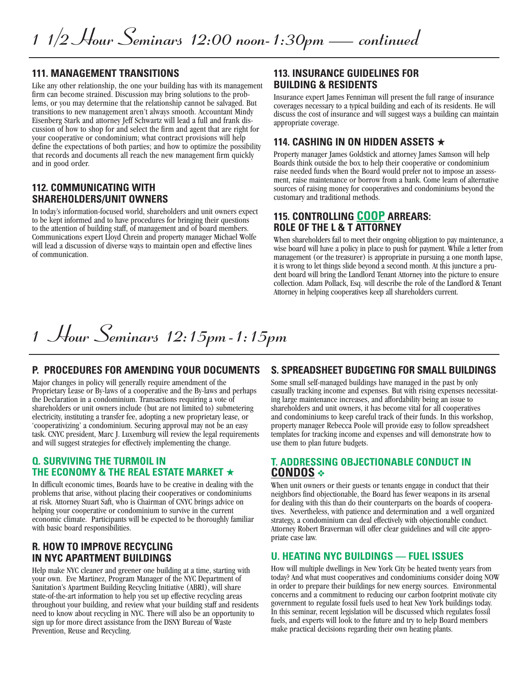#### **111. MANAGEMENT TRANSITIONS**

Like any other relationship, the one your building has with its management firm can become strained. Discussion may bring solutions to the problems, or you may determine that the relationship cannot be salvaged. But transitions to new management aren't always smooth. Accountant Mindy Eisenberg Stark and attorney Jeff Schwartz will lead a full and frank discussion of how to shop for and select the firm and agent that are right for your cooperative or condominium; what contract provisions will help define the expectations of both parties; and how to optimize the possibility that records and documents all reach the new management firm quickly and in good order.

#### **112. COMMUNICATING WITH SHAREHOLDERS/UNIT OWNERS**

In today's information-focused world, shareholders and unit owners expect to be kept informed and to have procedures for bringing their questions to the attention of building staff, of management and of board members. Communications expert Lloyd Chrein and property manager Michael Wolfe will lead a discussion of diverse ways to maintain open and effective lines of communication.

#### **113. INSURANCE GUIDELINES FOR BUILDING & RESIDENTS**

Insurance expert James Fenniman will present the full range of insurance coverages necessary to a typical building and each of its residents. He will discuss the cost of insurance and will suggest ways a building can maintain appropriate coverage.

#### **114. CASHING IN ON HIDDEN ASSETS ★**

Property manager James Goldstick and attorney James Samson will help Boards think outside the box to help their cooperative or condominium raise needed funds when the Board would prefer not to impose an assessment, raise maintenance or borrow from a bank. Come learn of alternative sources of raising money for cooperatives and condominiums beyond the customary and traditional methods.

#### **115. CONTROLLING COOP ARREARS: ROLE OF THE L & T ATTORNEY**

When shareholders fail to meet their ongoing obligation to pay maintenance, a wise board will have a policy in place to push for payment. While a letter from management (or the treasurer) is appropriate in pursuing a one month lapse, it is wrong to let things slide beyond a second month. At this juncture a prudent board will bring the Landlord Tenant Attorney into the picture t collection. Adam Pollack, Esq. will describe the role of the Landlord & Tenant Attorney in helping cooperatives keep all shareholders current.

## *1 Hour Seminars 12:15pm-1:15pm*

#### **P. PROCEDURES FOR AMENDING YOUR DOCUMENTS S. SPREADSHEET BUDGETING FOR SMALL BUILDINGS**

Major changes in policy will generally require amendment of the Proprietary Lease or By-laws of a cooperative and the By-laws and perhaps the Declaration in a condominium. Transactions requiring a vote of shareholders or unit owners include (but are not limited to) submetering electricity, instituting a transfer fee, adopting a new proprietary lease, or 'cooperativizing' a condominium. Securing approval may not be an easy task. CNYC president, Marc J. Luxemburg will review the legal requirements and will suggest strategies for effectively implementing the change.

#### **Q. SURVIVING THE TURMOIL IN THE ECONOMY & THE REAL ESTATE MARKET ★**

In difficult economic times, Boards have to be creative in dealing with the problems that arise, without placing their cooperatives or condominiums at risk. Attorney Stuart Saft, who is Chairman of CNYC brings advice on helping your cooperative or condominium to survive in the current economic climate. Participants will be expected to be thoroughly familiar with basic board responsibilities.

#### **R. HOW TO IMPROVE RECYCLING IN NYC APARTMENT BUILDINGS**

Help make NYC cleaner and greener one building at a time, starting with your own. Eve Martinez, Program Manager of the NYC Department of Sanitation's Apartment Building Recycling Initiative (ABRI), will share state-of-the-art information to help you set up effective recycling areas throughout your building, and review what your building staff and residents need to know about recycling in NYC. There will also be an opportunity to sign up for more direct assistance from the DSNY Bureau of Waste Prevention, Reuse and Recycling.

Some small self-managed buildings have managed in the past by only casually tracking income and expenses. But with rising expenses necessitating large maintenance increases, and affordability being an issue to shareholders and unit owners, it has become vital for all cooperatives and condominiums to keep careful track of their funds. In this workshop, property manager Rebecca Poole will provide easy to follow spreadsheet templates for tracking income and expenses and will demonstrate how to use them to plan future budgets.

#### **T. ADDRESSING OBJECTIONABLE CONDUCT IN CONDOS ❖**

When unit owners or their guests or tenants engage in conduct that their neighbors find objectionable, the Board has fewer weapons in its arsenal for dealing with this than do their counterparts on the boards of cooperatives. Nevertheless, with patience and determination and a well organized strategy, a condominium can deal effectively with objectionable conduct. Attorney Robert Braverman will offer clear guidelines and will cite appropriate case law.

#### **U. HEATING NYC BUILDINGS — FUEL ISSUES**

How will multiple dwellings in New York City be heated twenty years from today? And what must cooperatives and condominiums consider doing NOW in order to prepare their buildings for new energy sources. Environmental concerns and a commitment to reducing our carbon footprint motivate city In this seminar, recent legislation will be discussed which regulates fossil fuels, and experts will look to the future and try to help Board members make practical decisions regarding their own heating plants.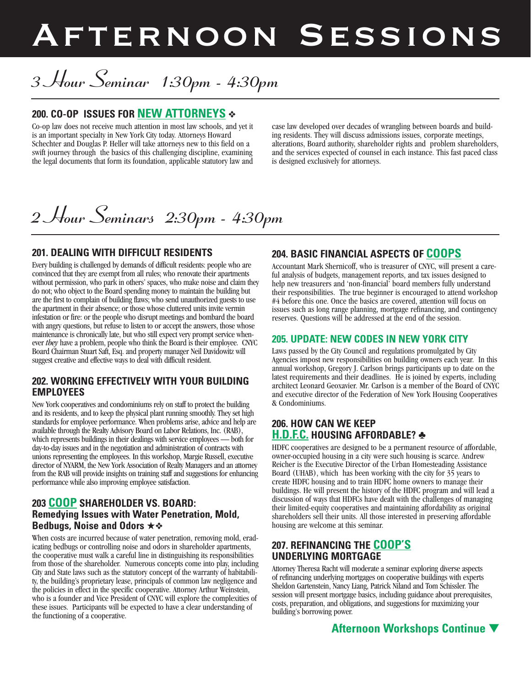# Afternoon Sessions

# *3 Hour Seminar 1:30pm - 4:30pm*

## **200. CO-OP ISSUES FOR NEW ATTORNEYS ❖**

Co-op law does not receive much attention in most law schools, and yet it is an important specialty in New York City today. Attorneys Howard Schechter and Douglas P. Heller will take attorneys new to this field on a swift journey through the basics of this challenging discipline, examining the legal documents that form its foundation, applicable statutory law and

case law developed over decades of wrangling between boards and building residents. They will discuss admissions issues, corporate meetings, alterations, Board authority, shareholder rights and problem shareholders, and the services expected of counsel in each instance. This fast paced class is designed exclusively for attorneys.

## *2 Hour Seminars 2:30pm - 4:30pm*

#### **201. DEALING WITH DIFFICULT RESIDENTS**

Every building is challenged by demands of difficult residents: people who are convinced that they are exempt from all rules; who renovate their apartments without permission, who park in others' spaces, who make noise and claim they do not; who object to the Board spending money to maintain the building but are the first to complain of building flaws; who send unauthorized guests to use the apartment in their absence; or those whose cluttered units invite vermin infestation or fire: or the people who disrupt meetings and bombard the board with angry questions, but refuse to listen to or accept the answers, those whose maintenance is chronically late, but who still expect very prompt service whenever *they* have a problem, people who think the Board is their employee. CNYC Board Chairman Stuart Saft, Esq. and property manager Neil Davidowitz will suggest creative and effective ways to deal with difficult resident.

#### **202. WORKING EFFECTIVELY WITH YOUR BUILDING EMPLOYEES**

New York cooperatives and condominiums rely on staff to protect the building and its residents, and to keep the physical plant running smoothly. They set high standards for employee performance. When problems arise, advice and help are available through the Realty Advisory Board on Labor Relations, Inc. (RAB), which represents buildings in their dealings with service employees — both for day-to-day issues and in the negotiation and administration of contracts with unions representing the employees. In this workshop, Margie Russell, executive director of NYARM, the New York Association of Realty Managers and an attorney from the RAB will provide insights on training staff and suggestions for enhancing performance while also improving employee satisfaction.

#### **203 COOP SHAREHOLDER VS. BOARD: Remedying Issues with Water Penetration, Mold, Bedbugs, Noise and Odors ★❖**

When costs are incurred because of water penetration, removing mold, erad-<br>icating bedbugs or controlling noise and odors in shareholder apartments, the cooperative must walk a careful line in distinguishing its responsibilities from those of the shareholder. Numerous concepts come into play, including City and State laws such as the statutory concept of the warranty of habitability, the building's proprietary lease, principals of common law negligence and the policies in effect in the specific cooperative. Attorney Arthur Weinstein, who is a founder and Vice President of CNYC will explore the complexities of these issues. Participants will be expected to have a clear understanding of the functioning of a cooperative.

## **204. BASIC FINANCIAL ASPECTS OF COOPS**

Accountant Mark Shernicoff, who is treasurer of CNYC, will present <sup>a</sup> care- ful analysis of budgets, management reports, and tax issues designed to help new treasurers and 'non-financial' board members fully understand their responsibilities. The true beginner is encouraged to attend workshop #4 before this one. Once the basics are covered, attention will focus on issues such as long range planning, mortgage refinancing, and contingency reserves. Questions will be addressed at the end of the session.

#### **205. UPDATE: NEW CODES IN NEW YORK CITY**

Laws passed by the City Council and regulations promulgated by City Agencies impost new responsibilities on building owners each year. In this annual workshop, Gregory J. Carlson brings participants up to date on the latest requirements and their deadlines. He is joined by experts, including architect Leonard Geoxavier. Mr. Carlson is a member of the Board of CNYC and executive director of the Federation of New York Housing Cooperatives & Condominiums.

#### **206. HOW CAN WE KEEP H.D.F.C. HOUSING AFFORDABLE? ♣**

HDFC cooperatives are designed to be a permanent resource of affordable, owner-occupied housing in a city were such housing is scarce. Andrew Reicher is the Executive Director of the Urban Homesteading Assistance Board (UHAB), which has been working with the city for 35 years to create HDFC housing and to train HDFC home owners to manage their buildings. He will present the history of the HDFC program and will lead a discussion of ways that HDFCs have dealt with the challenges of managing their limited-equity cooperatives and maintaining affordability as original shareholders sell their units. All those interested in preserving affordable housing are welcome at this seminar.

#### **207. REFINANCING THE COOP'S UNDERLYING MORTGAGE**

Attorney Theresa Racht will moderate a seminar exploring diverse aspects of refinancing underlying mortgages on cooperative buildings with experts Sheldon Gartenstein, Nancy Liang, Patrick Niland and Tom Schissler. The session will present mortgage basics, including guidance about prerequisites, costs, preparation, and obligations, and suggestions for maximizing your building's borrowing power.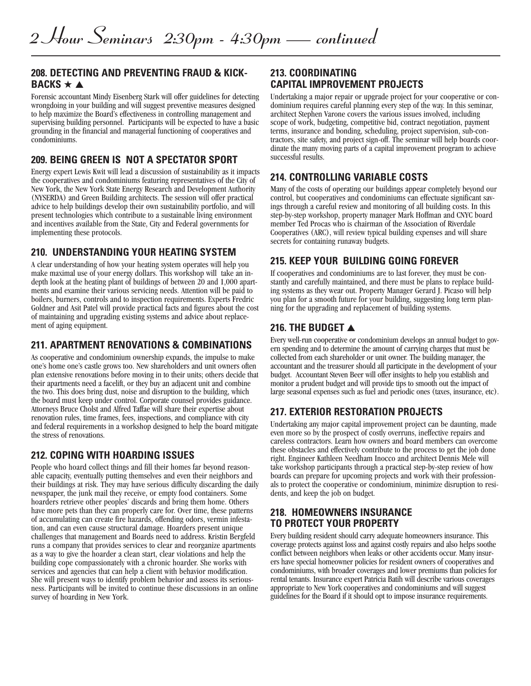#### **208. DETECTING AND PREVENTING FRAUD & KICK-BACKS ★ ▲**

Forensic accountant Mindy Eisenberg Stark will offer guidelines for detecting wrongdoing in your building and will suggest preventive measures designed to help maximize the Board's effectiveness in controlling management and supervising building personnel. Participants will be expected to have a basic grounding in the financial and managerial functioning of cooperatives and condominiums.

#### **209. BEING GREEN IS NOT A SPECTATOR SPORT**

Energy expert Lewis Kwit will lead a discussion of sustainability as it impacts the cooperatives and condominiums featuring representatives of the City of New York, the New York State Energy Research and Development Authority (NYSERDA) and Green Building architects. The session will offer practical advice to help buildings develop their own sustainability portfolio, and will present technologies which contribute to a sustainable living environment and incentives available from the State, City and Federal governments for implementing these protocols.

#### **210. UNDERSTANDING YOUR HEATING SYSTEM**

A clear understanding of how your heating system operates will help you depth look at the heating plant of buildings of between  $20$  and  $1,000$  apart-<br>ments and examine their various servicing needs. Attention will be paid to boilers, burners, controls and to inspection requirements. Experts Fredric Goldner and Asit Patel will provide practical facts and figures about the cost of maintaining and upgrading existing systems and advice about replace- ment of aging equipment.

#### **211. APARTMENT RENOVATIONS & COMBINATIONS**

As cooperative and condominium ownership expands, the impulse to make one's home one's castle grows too. New shareholders and unit owners often plan extensive renovations before moving in to their units; others decide that their apartments need a facelift, or they buy an adjacent unit and combine the two. This does bring dust, noise and disruption to the building, which the board must keep under control. Corporate counsel provides guidance. Attorneys Bruce Cholst and Alfred Taffae will share their expertise about renovation rules, time frames, fees, inspections, and compliance with city and federal requirements in a workshop designed to help the board mitigate the stress of renovations.

#### **212. COPING WITH HOARDING ISSUES**

People who hoard collect things and fill their homes far beyond reason-<br>able capacity, eventually putting themselves and even their neighbors and their buildings at risk. They may have serious difficulty discarding the daily newspaper, the junk mail they receive, or empty food containers. Some hoarders retrieve other peoples' discards and bring them home. Others have more pets than they can properly care for. Over time, these patterns of accumulating can create fire hazards, offending odors, vermin infestation, and can even cause structural damage. Hoarders present unique challenges that management and Boards need to address. Kristin Bergfeld runs a company that provides services to clear and reorganize apartments as a way to give the hoarder a clean start, clear violations and help the building cope compassionately with a chronic hoarder. She works with services and agencies that can help a client with behavior modification. She will present ways to identify problem behavior and assess its seriousness. Participants will be invited to continue these discussions in an online survey of hoarding in New York.

#### **213. COORDINATING CAPITAL IMPROVEMENT PROJECTS**

Undertaking a major repair or upgrade project for your cooperative or condominium requires careful planning every step of the way. In this seminar, architect Stephen Varone covers the various issues involved, including scope of work, budgeting, competitive bid, contract negotiation, payment terms, insurance and bonding, scheduling, project supervision, sub-contractors, site safety, and project sign-off. The seminar will help boards coordinate the many moving parts of a capital improvement program to achieve successful results.

#### **214. CONTROLLING VARIABLE COSTS**

Many of the costs of operating our buildings appear completely beyond our control, but cooperatives and condominiums can effectuate significant savings through a careful review and monitoring of all building costs. In this step-by-step workshop, property manager Mark Hoffman and CNYC board member Ted Procas who is chairman of the Association of Riverdale Cooperatives (ARC), will review typical building expenses and will share secrets for containing runaway budgets.

## **215. KEEP YOUR BUILDING GOING FOREVER**

If cooperatives and condominiums are to last forever, they must be con- stantly and carefully maintained, and there must be plans to replace build- ing systems as they wear out. Property Manager Gerard J. Picaso will help you plan for <sup>a</sup> smooth future for your building, suggesting long term plan- ning for the upgrading and replacement of building systems.

## **216. THE BUDGET ▲**

Every well-run cooperative or condominium develops an annual budget to govern spending and to determine the amount of carrying charges that must be collected from each shareholder or unit owner. The building manager, the accountant and the treasurer should all participate in the development of your budget. Accountant Steven Beer will offer insights to help you establish and monitor a prudent budget and will provide tips to smooth out the impact of large seasonal expenses such as fuel and periodic ones (taxes, insurance, etc).

## **217. EXTERIOR RESTORATION PROJECTS**

Undertaking any major capital improvement project can be daunting, made even more so by the prospect of costly overruns, ineffective repairs and careless contractors. Learn how owners and board members can overcome these obstacles and effectively contribute to the process to get the job done right. Engineer Kathleen Needham Inocco and architect Dennis Mele will take workshop participants through a practical step-by-step review of how boards can prepare for upcoming projects and work with their professionals to protect the cooperative or condominium, minimize disruption to residents, and keep the job on budget.

#### **218. HOMEOWNERS INSURANCE TO PROTECT YOUR PROPERTY**

Every building resident should carry adequate homeowners insurance. This coverage protects against loss and against costly repairs and also helps soothe conflict between neighbors when leaks or other accidents occur. Many insurers have special homeowner policies for resident owners of cooperatives and condominiums, with broader coverages and lower premiums than policies for rental tenants. Insurance expert Patricia Batih will describe various coverages appropriate to New York cooperatives and condominiums and will suggest guidelines for the Board if it should opt to impose insurance requirements.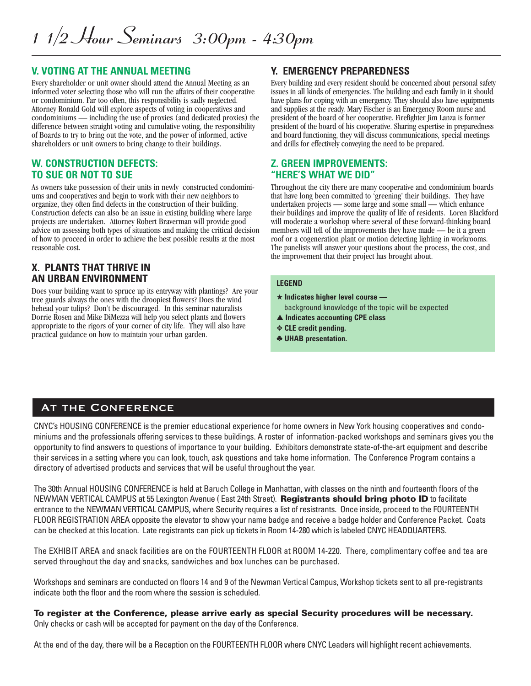#### **V. VOTING AT THE ANNUAL MEETING**

Every shareholder or unit owner should attend the Annual Meeting as an informed voter selecting those who will run the affairs of their cooperative or condominium. Far too often, this responsibility is sadly neglected. Attorney Ronald Gold will explore aspects of voting in cooperatives and condominiums — including the use of proxies (and dedicated proxies) the difference between straight voting and cumulative voting, the responsibility of Boards to try to bring out the vote, and the power of informed, active shareholders or unit owners to bring change to their buildings.

#### **W. CONSTRUCTION DEFECTS: TO SUE OR NOT TO SUE**

As owners take possession of their units in newly constructed condominiums and cooperatives and begin to work with their new neighbors to organize, they often find defects in the construction of their building. Construction defects can also be an issue in existing building where large projects are undertaken. Attorney Robert Braverman will provide good advice on assessing both types of situations and making the critical decision of how to proceed in order to achieve the best possible results at the most reasonable cost.

#### **X. PLANTS THAT THRIVE IN AN URBAN ENVIRONMENT**

Does your building want to spruce up its entryway with plantings? Are your tree guards always the ones with the droopiest flowers? Does the wind behead your tulips? Don't be discouraged. In this seminar naturalists Dorrie Rosen and Mike DiMezza will help you select plants and flowers appropriate to the rigors of your corner of city life. They will also have practical guidance on how to maintain your urban garden.

## **Y. EMERGENCY PREPAREDNESS**

Every building and every resident should be concerned about personal safety issues in all kinds of emergencies. The building and each family in it should have plans for coping with an emergency. They should also have equipments and supplies at the ready. Mary Fischer is an Emergency Room nurse and president of the board of her cooperative. Firefighter Jim Lanza is former president of the board of his cooperative. Sharing expertise in preparedness and board functioning, they will discuss communications, special meetings and drills for effectively conveying the need to be prepared.

#### **Z. GREEN IMPROVEMENTS: "HERE'S WHAT WE DID"**

Throughout the city there are many cooperative and condominium boards that have long been committed to 'greening' their buildings. They have undertaken projects — some large and some small — which enhance their buildings and improve the quality of life of residents. Loren Blackford will moderate a workshop where several of these forward-thinking board members will tell of the improvements they have made — be it a green roof or a cogeneration plant or motion detecting lighting in workrooms. The panelists will answer your questions about the process, the cost, and the improvement that their project has brought about.

#### **LEGEND**

- **★ Indicates higher level course**  background knowledge of the topic will be expected
- **▲ Indicates accounting CPE class**
- **❖ CLE credit pending.**
- **♣ UHAB presentation.**

## **AT THE CONFERENCE**

CNYC's HOUSING CONFERENCE is the premier educational experience for home owners in New York housing cooperatives and condominiums and the professionals offering services to these buildings. A roster of information-packed workshops and seminars gives you the opportunity to find answers to questions of importance to your building. Exhibitors demonstrate state-of-the-art equipment and describe their services in a setting where you can look, touch, ask questions and take home information. The Conference Program contains a directory of advertised products and services that will be useful throughout the year.

The 30th Annual HOUSING CONFERENCE is held at Baruch College in Manhattan, with classes on the ninth and fourteenth floors of the NEWMAN VERTICAL CAMPUS at 55 Lexington Avenue ( East 24th Street). **Registrants should bring photo ID** to facilitate entrance to the NEWMAN VERTICAL CAMPUS, where Security requires a list of resistrants. Once inside, proceed to the FOURTEENTH FLOOR REGISTRATION AREA opposite the elevator to show your name badge and receive a badge holder and Conference Packet. Coats can be checked at this location. Late registrants can pick up tickets in Room 14-280 which is labeled CNYC HEADQUARTERS.

The EXHIBIT AREA and snack facilities are on the FOURTEENTH FLOOR at ROOM 14-220. There, complimentary coffee and tea are served throughout the day and snacks, sandwiches and box lunches can be purchased.

Workshops and seminars are conducted on floors 14 and 9 of the Newman Vertical Campus, Workshop tickets sent to all pre-registrants indicate both the floor and the room where the session is scheduled.

**To register at the Conference, please arrive early as special Security procedures will be necessary.** Only checks or cash will be accepted for payment on the day of the Conference.

At the end of the day, there will be a Reception on the FOURTEENTH FLOOR where CNYC Leaders will highlight recent achievements.